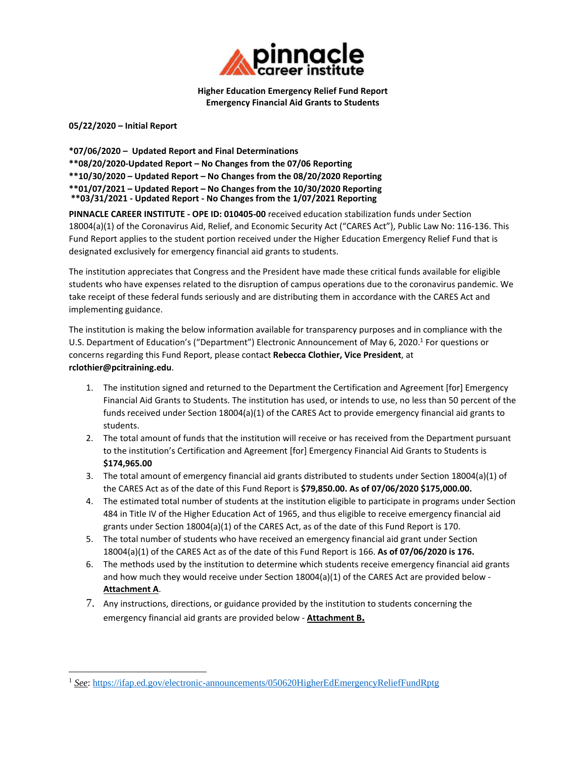

**Higher Education Emergency Relief Fund Report Emergency Financial Aid Grants to Students**

**05/22/2020 – Initial Report**

**\*07/06/2020 – Updated Report and Final Determinations \*\*08/20/2020‐Updated Report – No Changes from the 07/06 Reporting \*\*10/30/2020 – Updated Report – No Changes from the 08/20/2020 Reporting \*\*01/07/2021 – Updated Report – No Changes from the 10/30/2020 Reporting \*\*03/31/2021 - Updated Report - No Changes from the 1/07/2021 Reporting**

**PINNACLE CAREER INSTITUTE ‐ OPE ID: 010405‐00** received education stabilization funds under Section 18004(a)(1) of the Coronavirus Aid, Relief, and Economic Security Act ("CARES Act"), Public Law No: 116‐136. This Fund Report applies to the student portion received under the Higher Education Emergency Relief Fund that is designated exclusively for emergency financial aid grants to students.

The institution appreciates that Congress and the President have made these critical funds available for eligible students who have expenses related to the disruption of campus operations due to the coronavirus pandemic. We take receipt of these federal funds seriously and are distributing them in accordance with the CARES Act and implementing guidance.

The institution is making the below information available for transparency purposes and in compliance with the U.S. Department of Education's ("Department") Electronic Announcement of May 6, 2020.<sup>1</sup> For questions or concerns regarding this Fund Report, please contact **Rebecca Clothier, Vice President**, at **rclothier@pcitraining.edu**.

- 1. The institution signed and returned to the Department the Certification and Agreement [for] Emergency Financial Aid Grants to Students. The institution has used, or intends to use, no less than 50 percent of the funds received under Section 18004(a)(1) of the CARES Act to provide emergency financial aid grants to students.
- 2. The total amount of funds that the institution will receive or has received from the Department pursuant to the institution's Certification and Agreement [for] Emergency Financial Aid Grants to Students is **\$174,965.00**
- 3. The total amount of emergency financial aid grants distributed to students under Section 18004(a)(1) of the CARES Act as of the date of this Fund Report is **\$79,850.00. As of 07/06/2020 \$175,000.00.**
- 4. The estimated total number of students at the institution eligible to participate in programs under Section 484 in Title IV of the Higher Education Act of 1965, and thus eligible to receive emergency financial aid grants under Section 18004(a)(1) of the CARES Act, as of the date of this Fund Report is 170.
- 5. The total number of students who have received an emergency financial aid grant under Section 18004(a)(1) of the CARES Act as of the date of this Fund Report is 166. **As of 07/06/2020 is 176.**
- 6. The methods used by the institution to determine which students receive emergency financial aid grants and how much they would receive under Section 18004(a)(1) of the CARES Act are provided below -**Attachment A**.
- 7. Any instructions, directions, or guidance provided by the institution to students concerning the emergency financial aid grants are provided below ‐ **Attachment B.**

<sup>1</sup> *See*: https://ifap.ed.gov/electronic-announcements/050620HigherEdEmergencyReliefFundRptg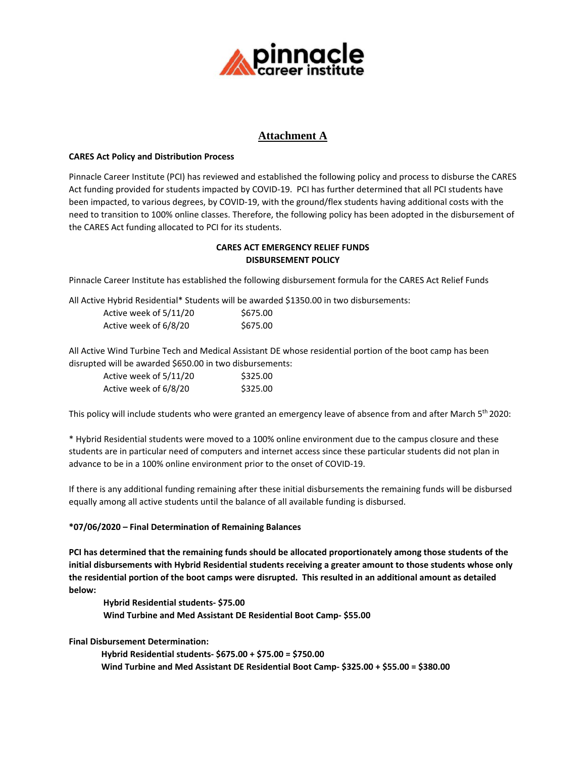

## **Attachment A**

### **CARES Act Policy and Distribution Process**

Pinnacle Career Institute (PCI) has reviewed and established the following policy and process to disburse the CARES Act funding provided for students impacted by COVID‐19. PCI has further determined that all PCI students have been impacted, to various degrees, by COVID‐19, with the ground/flex students having additional costs with the need to transition to 100% online classes. Therefore, the following policy has been adopted in the disbursement of the CARES Act funding allocated to PCI for its students.

### **CARES ACT EMERGENCY RELIEF FUNDS DISBURSEMENT POLICY**

Pinnacle Career Institute has established the following disbursement formula for the CARES Act Relief Funds

All Active Hybrid Residential\* Students will be awarded \$1350.00 in two disbursements:

| Active week of 5/11/20 | \$675.00 |
|------------------------|----------|
| Active week of 6/8/20  | \$675.00 |

All Active Wind Turbine Tech and Medical Assistant DE whose residential portion of the boot camp has been disrupted will be awarded \$650.00 in two disbursements:

| Active week of 5/11/20 | \$325.00 |
|------------------------|----------|
| Active week of 6/8/20  | \$325.00 |

This policy will include students who were granted an emergency leave of absence from and after March 5<sup>th</sup> 2020:

\* Hybrid Residential students were moved to a 100% online environment due to the campus closure and these students are in particular need of computers and internet access since these particular students did not plan in advance to be in a 100% online environment prior to the onset of COVID‐19.

If there is any additional funding remaining after these initial disbursements the remaining funds will be disbursed equally among all active students until the balance of all available funding is disbursed.

### **\*07/06/2020 – Final Determination of Remaining Balances**

**PCI has determined that the remaining funds should be allocated proportionately among those students of the initial disbursements with Hybrid Residential students receiving a greater amount to those students whose only** the residential portion of the boot camps were disrupted. This resulted in an additional amount as detailed **below:** 

**Hybrid Residential students‐ \$75.00 Wind Turbine and Med Assistant DE Residential Boot Camp‐ \$55.00**

**Final Disbursement Determination:**

 **Hybrid Residential students‐ \$675.00 + \$75.00 = \$750.00 Wind Turbine and Med Assistant DE Residential Boot Camp‐ \$325.00 + \$55.00 = \$380.00**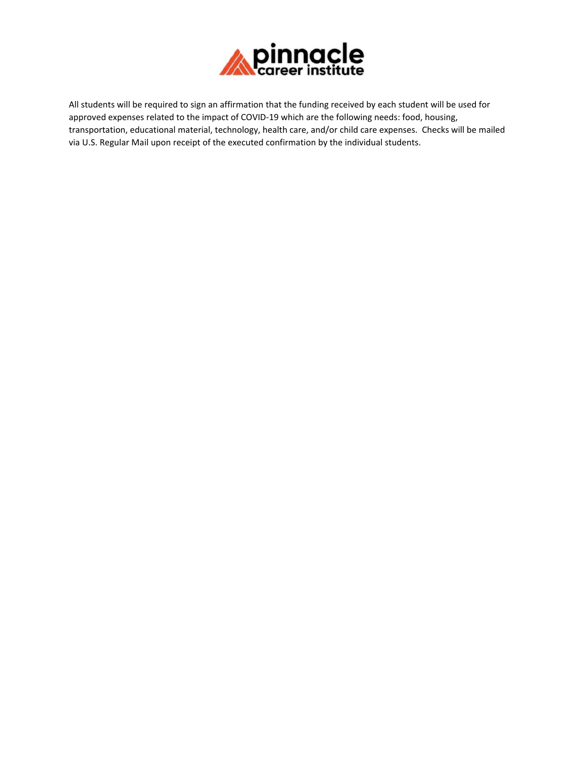

All students will be required to sign an affirmation that the funding received by each student will be used for approved expenses related to the impact of COVID‐19 which are the following needs: food, housing, transportation, educational material, technology, health care, and/or child care expenses. Checks will be mailed via U.S. Regular Mail upon receipt of the executed confirmation by the individual students.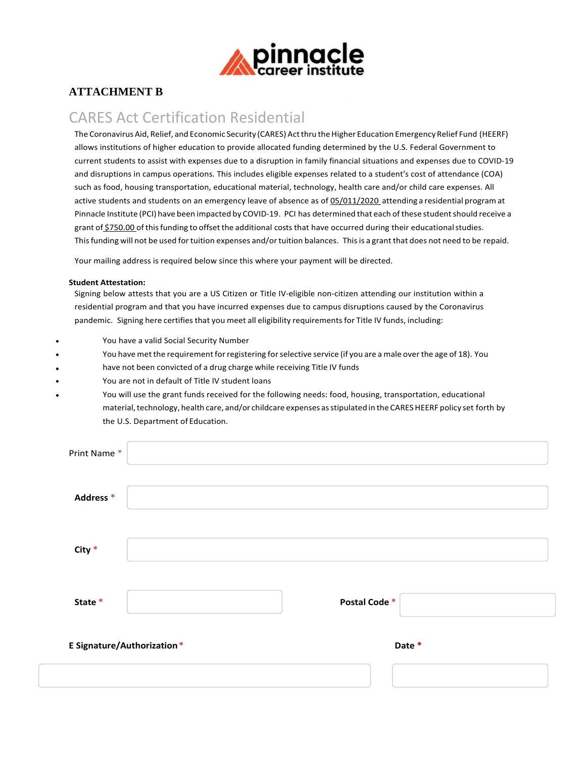

## **ATTACHMENT B**

# CARES Act Certification Residential

The Coronavirus Aid, Relief, and Economic Security (CARES) Act thru the Higher Education Emergency Relief Fund (HEERF) allows institutions of higher education to provide allocated funding determined by the U.S. Federal Government to current students to assist with expenses due to a disruption in family financial situations and expenses due to COVID‐19 and disruptions in campus operations. This includes eligible expenses related to a student's cost of attendance (COA) such as food, housing transportation, educational material, technology, health care and/or child care expenses. All active students and students on an emergency leave of absence as of 05/011/2020 attending a residential program at Pinnacle Institute (PCI) have been impacted by COVID‐19. PCI has determined that each of these studentshould receive a grant of \$750.00 ofthisfunding to offsetthe additional costs that have occurred during their educationalstudies. This funding will not be used for tuition expenses and/or tuition balances. This is a grant that does not need to be repaid.

Your mailing address is required below since this where your payment will be directed.

### **Student Attestation:**

Signing below attests that you are a US Citizen or Title IV‐eligible non‐citizen attending our institution within a residential program and that you have incurred expenses due to campus disruptions caused by the Coronavirus pandemic. Signing here certifies that you meet all eligibility requirements for Title IV funds, including:

- You have a valid Social Security Number
- You have met the requirement for registering for selective service (if you are a male over the age of 18). You
- have not been convicted of a drug charge while receiving Title IV funds
- You are not in default of Title IV student loans
- You will use the grant funds received for the following needs: food, housing, transportation, educational material, technology, health care, and/or childcare expenses as stipulated in the CARES HEERF policy set forth by the U.S. Department of Education.

| Print Name*                       |              |        |
|-----------------------------------|--------------|--------|
| Address <sup>*</sup>              |              |        |
| City $*$                          |              |        |
| State *                           | Postal Code* |        |
| <b>E Signature/Authorization*</b> |              | Date * |
|                                   |              |        |